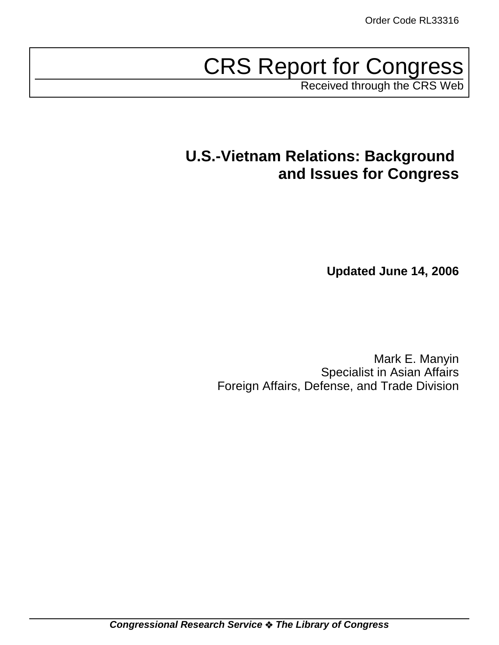# CRS Report for Congress

Received through the CRS Web

# **U.S.-Vietnam Relations: Background and Issues for Congress**

**Updated June 14, 2006**

Mark E. Manyin Specialist in Asian Affairs Foreign Affairs, Defense, and Trade Division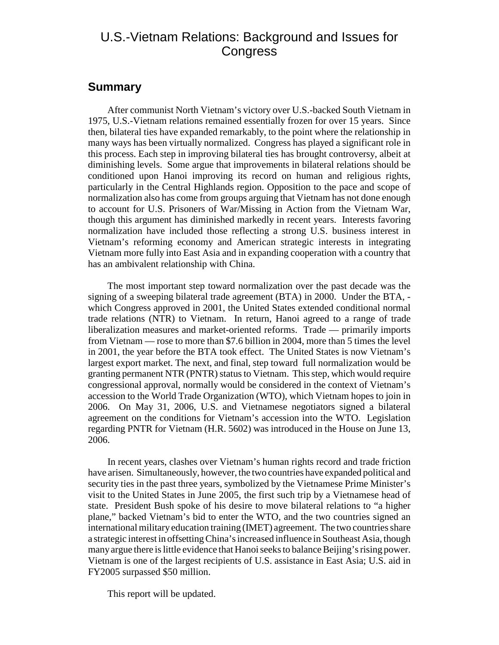# U.S.-Vietnam Relations: Background and Issues for **Congress**

# **Summary**

After communist North Vietnam's victory over U.S.-backed South Vietnam in 1975, U.S.-Vietnam relations remained essentially frozen for over 15 years. Since then, bilateral ties have expanded remarkably, to the point where the relationship in many ways has been virtually normalized. Congress has played a significant role in this process. Each step in improving bilateral ties has brought controversy, albeit at diminishing levels. Some argue that improvements in bilateral relations should be conditioned upon Hanoi improving its record on human and religious rights, particularly in the Central Highlands region. Opposition to the pace and scope of normalization also has come from groups arguing that Vietnam has not done enough to account for U.S. Prisoners of War/Missing in Action from the Vietnam War, though this argument has diminished markedly in recent years. Interests favoring normalization have included those reflecting a strong U.S. business interest in Vietnam's reforming economy and American strategic interests in integrating Vietnam more fully into East Asia and in expanding cooperation with a country that has an ambivalent relationship with China.

The most important step toward normalization over the past decade was the signing of a sweeping bilateral trade agreement (BTA) in 2000. Under the BTA, which Congress approved in 2001, the United States extended conditional normal trade relations (NTR) to Vietnam. In return, Hanoi agreed to a range of trade liberalization measures and market-oriented reforms. Trade — primarily imports from Vietnam — rose to more than \$7.6 billion in 2004, more than 5 times the level in 2001, the year before the BTA took effect. The United States is now Vietnam's largest export market. The next, and final, step toward full normalization would be granting permanent NTR (PNTR) status to Vietnam. This step, which would require congressional approval, normally would be considered in the context of Vietnam's accession to the World Trade Organization (WTO), which Vietnam hopes to join in 2006. On May 31, 2006, U.S. and Vietnamese negotiators signed a bilateral agreement on the conditions for Vietnam's accession into the WTO. Legislation regarding PNTR for Vietnam (H.R. 5602) was introduced in the House on June 13, 2006.

In recent years, clashes over Vietnam's human rights record and trade friction have arisen. Simultaneously, however, the two countries have expanded political and security ties in the past three years, symbolized by the Vietnamese Prime Minister's visit to the United States in June 2005, the first such trip by a Vietnamese head of state. President Bush spoke of his desire to move bilateral relations to "a higher plane," backed Vietnam's bid to enter the WTO, and the two countries signed an international military education training (IMET) agreement. The two countries share a strategic interest in offsetting China's increased influence in Southeast Asia, though many argue there is little evidence that Hanoi seeks to balance Beijing's rising power. Vietnam is one of the largest recipients of U.S. assistance in East Asia; U.S. aid in FY2005 surpassed \$50 million.

This report will be updated.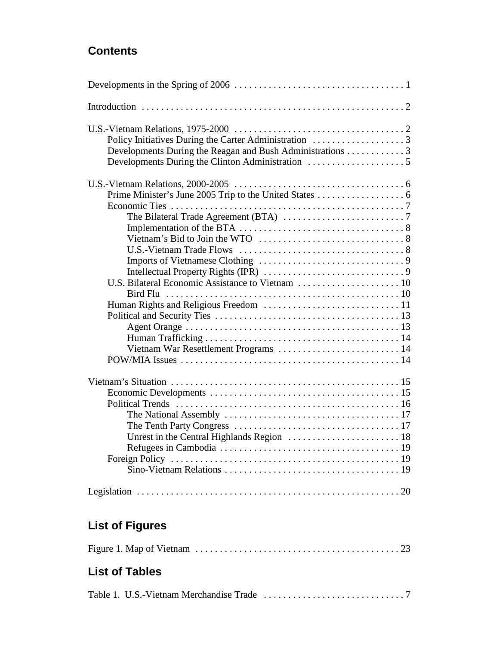# **Contents**

| Developments During the Reagan and Bush Administrations 3 |
|-----------------------------------------------------------|
|                                                           |
|                                                           |
|                                                           |
|                                                           |
|                                                           |
|                                                           |
|                                                           |
|                                                           |
|                                                           |
|                                                           |
|                                                           |
|                                                           |
|                                                           |
|                                                           |
|                                                           |
|                                                           |
| Vietnam War Resettlement Programs  14                     |
|                                                           |
|                                                           |
|                                                           |
|                                                           |
|                                                           |
|                                                           |
|                                                           |
|                                                           |
|                                                           |
|                                                           |
|                                                           |

# **List of Figures**

|--|--|--|

# **List of Tables**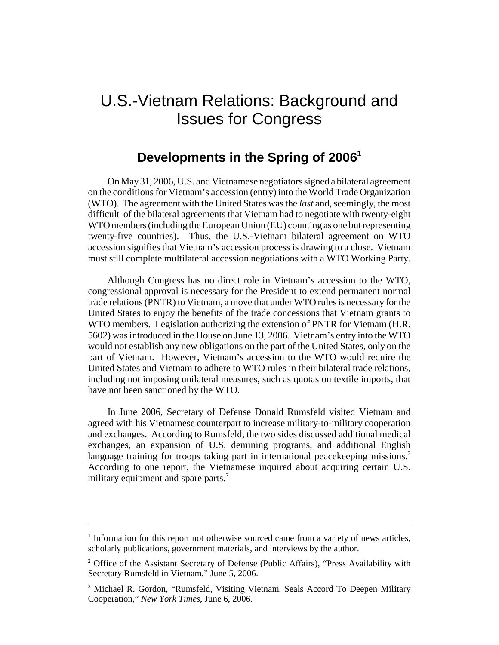# U.S.-Vietnam Relations: Background and Issues for Congress

# **Developments in the Spring of 20061**

On May 31, 2006, U.S. and Vietnamese negotiators signed a bilateral agreement on the conditions for Vietnam's accession (entry) into the World Trade Organization (WTO). The agreement with the United States was the *last* and, seemingly, the most difficult of the bilateral agreements that Vietnam had to negotiate with twenty-eight WTO members (including the European Union (EU) counting as one but representing twenty-five countries). Thus, the U.S.-Vietnam bilateral agreement on WTO accession signifies that Vietnam's accession process is drawing to a close. Vietnam must still complete multilateral accession negotiations with a WTO Working Party.

Although Congress has no direct role in Vietnam's accession to the WTO, congressional approval is necessary for the President to extend permanent normal trade relations (PNTR) to Vietnam, a move that under WTO rules is necessary for the United States to enjoy the benefits of the trade concessions that Vietnam grants to WTO members. Legislation authorizing the extension of PNTR for Vietnam (H.R. 5602) was introduced in the House on June 13, 2006. Vietnam's entry into the WTO would not establish any new obligations on the part of the United States, only on the part of Vietnam. However, Vietnam's accession to the WTO would require the United States and Vietnam to adhere to WTO rules in their bilateral trade relations, including not imposing unilateral measures, such as quotas on textile imports, that have not been sanctioned by the WTO.

In June 2006, Secretary of Defense Donald Rumsfeld visited Vietnam and agreed with his Vietnamese counterpart to increase military-to-military cooperation and exchanges. According to Rumsfeld, the two sides discussed additional medical exchanges, an expansion of U.S. demining programs, and additional English language training for troops taking part in international peacekeeping missions.<sup>2</sup> According to one report, the Vietnamese inquired about acquiring certain U.S. military equipment and spare parts.<sup>3</sup>

<sup>&</sup>lt;sup>1</sup> Information for this report not otherwise sourced came from a variety of news articles, scholarly publications, government materials, and interviews by the author.

<sup>&</sup>lt;sup>2</sup> Office of the Assistant Secretary of Defense (Public Affairs), "Press Availability with Secretary Rumsfeld in Vietnam," June 5, 2006.

<sup>&</sup>lt;sup>3</sup> Michael R. Gordon, "Rumsfeld, Visiting Vietnam, Seals Accord To Deepen Military Cooperation," *New York Times*, June 6, 2006.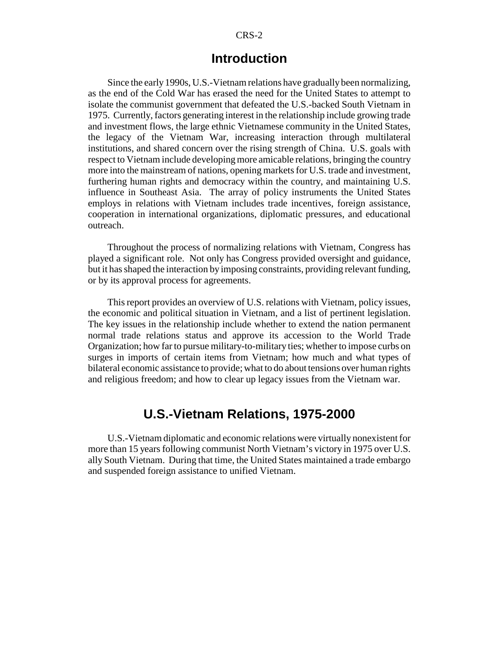#### CRS-2

# **Introduction**

Since the early 1990s, U.S.-Vietnam relations have gradually been normalizing, as the end of the Cold War has erased the need for the United States to attempt to isolate the communist government that defeated the U.S.-backed South Vietnam in 1975. Currently, factors generating interest in the relationship include growing trade and investment flows, the large ethnic Vietnamese community in the United States, the legacy of the Vietnam War, increasing interaction through multilateral institutions, and shared concern over the rising strength of China. U.S. goals with respect to Vietnam include developing more amicable relations, bringing the country more into the mainstream of nations, opening markets for U.S. trade and investment, furthering human rights and democracy within the country, and maintaining U.S. influence in Southeast Asia. The array of policy instruments the United States employs in relations with Vietnam includes trade incentives, foreign assistance, cooperation in international organizations, diplomatic pressures, and educational outreach.

Throughout the process of normalizing relations with Vietnam, Congress has played a significant role. Not only has Congress provided oversight and guidance, but it has shaped the interaction by imposing constraints, providing relevant funding, or by its approval process for agreements.

This report provides an overview of U.S. relations with Vietnam, policy issues, the economic and political situation in Vietnam, and a list of pertinent legislation. The key issues in the relationship include whether to extend the nation permanent normal trade relations status and approve its accession to the World Trade Organization; how far to pursue military-to-military ties; whether to impose curbs on surges in imports of certain items from Vietnam; how much and what types of bilateral economic assistance to provide; what to do about tensions over human rights and religious freedom; and how to clear up legacy issues from the Vietnam war.

# **U.S.-Vietnam Relations, 1975-2000**

U.S.-Vietnam diplomatic and economic relations were virtually nonexistent for more than 15 years following communist North Vietnam's victory in 1975 over U.S. ally South Vietnam. During that time, the United States maintained a trade embargo and suspended foreign assistance to unified Vietnam.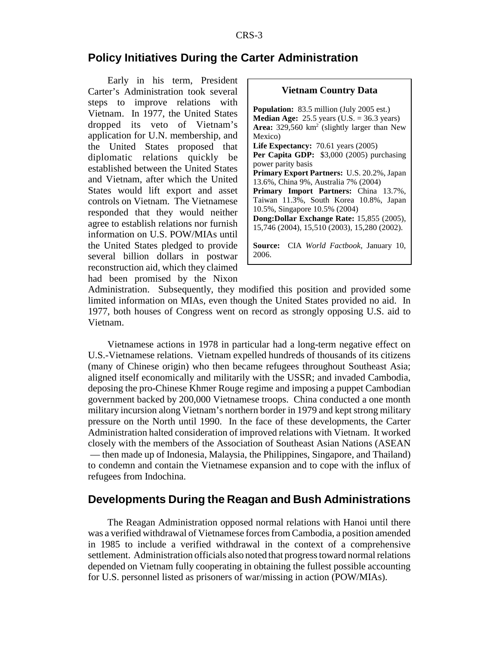### **Policy Initiatives During the Carter Administration**

Early in his term, President Carter's Administration took several steps to improve relations with Vietnam. In 1977, the United States dropped its veto of Vietnam's application for U.N. membership, and the United States proposed that diplomatic relations quickly be established between the United States and Vietnam, after which the United States would lift export and asset controls on Vietnam. The Vietnamese responded that they would neither agree to establish relations nor furnish information on U.S. POW/MIAs until the United States pledged to provide several billion dollars in postwar reconstruction aid, which they claimed had been promised by the Nixon

| <b>Vietnam Country Data</b>                            |
|--------------------------------------------------------|
| <b>Population:</b> 83.5 million (July 2005 est.)       |
| <b>Median Age:</b> 25.5 years (U.S. = 36.3 years)      |
| Area: $329,560 \text{ km}^2$ (slightly larger than New |
| Mexico)                                                |
| Life Expectancy: $70.61$ years $(2005)$                |
| Per Capita GDP: \$3,000 (2005) purchasing              |
| power parity basis                                     |
| Primary Export Partners: U.S. 20.2%, Japan             |
| 13.6%, China 9%, Australia 7% (2004)                   |
| Primary Import Partners: China 13.7%,                  |
| Taiwan 11.3%, South Korea 10.8%, Japan                 |
| 10.5%, Singapore 10.5% (2004)                          |
| Dong: Dollar Exchange Rate: 15,855 (2005),             |
| 15,746 (2004), 15,510 (2003), 15,280 (2002).           |
| Source: CIA World Factbook, January 10,<br>2006.       |

Administration. Subsequently, they modified this position and provided some limited information on MIAs, even though the United States provided no aid. In 1977, both houses of Congress went on record as strongly opposing U.S. aid to Vietnam.

Vietnamese actions in 1978 in particular had a long-term negative effect on U.S.-Vietnamese relations. Vietnam expelled hundreds of thousands of its citizens (many of Chinese origin) who then became refugees throughout Southeast Asia; aligned itself economically and militarily with the USSR; and invaded Cambodia, deposing the pro-Chinese Khmer Rouge regime and imposing a puppet Cambodian government backed by 200,000 Vietnamese troops. China conducted a one month military incursion along Vietnam's northern border in 1979 and kept strong military pressure on the North until 1990. In the face of these developments, the Carter Administration halted consideration of improved relations with Vietnam. It worked closely with the members of the Association of Southeast Asian Nations (ASEAN — then made up of Indonesia, Malaysia, the Philippines, Singapore, and Thailand) to condemn and contain the Vietnamese expansion and to cope with the influx of refugees from Indochina.

#### **Developments During the Reagan and Bush Administrations**

The Reagan Administration opposed normal relations with Hanoi until there was a verified withdrawal of Vietnamese forces from Cambodia, a position amended in 1985 to include a verified withdrawal in the context of a comprehensive settlement. Administration officials also noted that progress toward normal relations depended on Vietnam fully cooperating in obtaining the fullest possible accounting for U.S. personnel listed as prisoners of war/missing in action (POW/MIAs).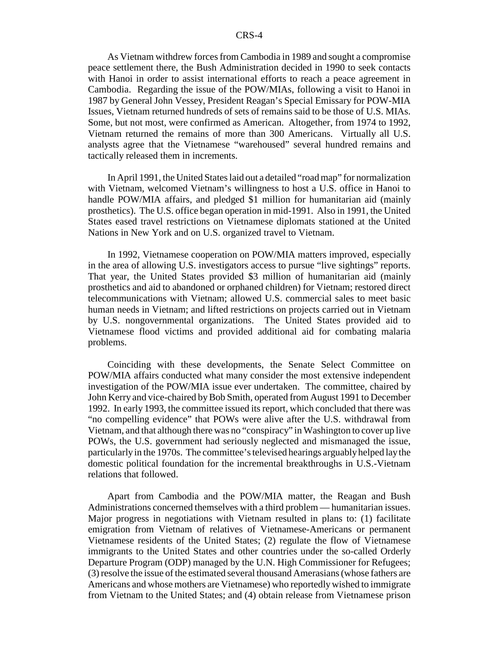As Vietnam withdrew forces from Cambodia in 1989 and sought a compromise peace settlement there, the Bush Administration decided in 1990 to seek contacts with Hanoi in order to assist international efforts to reach a peace agreement in Cambodia. Regarding the issue of the POW/MIAs, following a visit to Hanoi in 1987 by General John Vessey, President Reagan's Special Emissary for POW-MIA Issues, Vietnam returned hundreds of sets of remains said to be those of U.S. MIAs. Some, but not most, were confirmed as American. Altogether, from 1974 to 1992, Vietnam returned the remains of more than 300 Americans. Virtually all U.S. analysts agree that the Vietnamese "warehoused" several hundred remains and tactically released them in increments.

In April 1991, the United States laid out a detailed "road map" for normalization with Vietnam, welcomed Vietnam's willingness to host a U.S. office in Hanoi to handle POW/MIA affairs, and pledged \$1 million for humanitarian aid (mainly prosthetics). The U.S. office began operation in mid-1991. Also in 1991, the United States eased travel restrictions on Vietnamese diplomats stationed at the United Nations in New York and on U.S. organized travel to Vietnam.

In 1992, Vietnamese cooperation on POW/MIA matters improved, especially in the area of allowing U.S. investigators access to pursue "live sightings" reports. That year, the United States provided \$3 million of humanitarian aid (mainly prosthetics and aid to abandoned or orphaned children) for Vietnam; restored direct telecommunications with Vietnam; allowed U.S. commercial sales to meet basic human needs in Vietnam; and lifted restrictions on projects carried out in Vietnam by U.S. nongovernmental organizations. The United States provided aid to Vietnamese flood victims and provided additional aid for combating malaria problems.

Coinciding with these developments, the Senate Select Committee on POW/MIA affairs conducted what many consider the most extensive independent investigation of the POW/MIA issue ever undertaken. The committee, chaired by John Kerry and vice-chaired by Bob Smith, operated from August 1991 to December 1992. In early 1993, the committee issued its report, which concluded that there was "no compelling evidence" that POWs were alive after the U.S. withdrawal from Vietnam, and that although there was no "conspiracy" in Washington to cover up live POWs, the U.S. government had seriously neglected and mismanaged the issue, particularly in the 1970s. The committee's televised hearings arguably helped lay the domestic political foundation for the incremental breakthroughs in U.S.-Vietnam relations that followed.

Apart from Cambodia and the POW/MIA matter, the Reagan and Bush Administrations concerned themselves with a third problem — humanitarian issues. Major progress in negotiations with Vietnam resulted in plans to: (1) facilitate emigration from Vietnam of relatives of Vietnamese-Americans or permanent Vietnamese residents of the United States; (2) regulate the flow of Vietnamese immigrants to the United States and other countries under the so-called Orderly Departure Program (ODP) managed by the U.N. High Commissioner for Refugees; (3) resolve the issue of the estimated several thousand Amerasians (whose fathers are Americans and whose mothers are Vietnamese) who reportedly wished to immigrate from Vietnam to the United States; and (4) obtain release from Vietnamese prison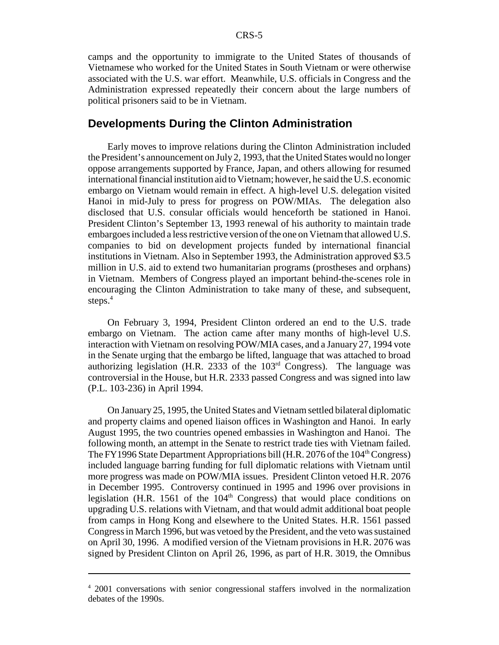camps and the opportunity to immigrate to the United States of thousands of Vietnamese who worked for the United States in South Vietnam or were otherwise associated with the U.S. war effort. Meanwhile, U.S. officials in Congress and the Administration expressed repeatedly their concern about the large numbers of political prisoners said to be in Vietnam.

#### **Developments During the Clinton Administration**

Early moves to improve relations during the Clinton Administration included the President's announcement on July 2, 1993, that the United States would no longer oppose arrangements supported by France, Japan, and others allowing for resumed international financial institution aid to Vietnam; however, he said the U.S. economic embargo on Vietnam would remain in effect. A high-level U.S. delegation visited Hanoi in mid-July to press for progress on POW/MIAs. The delegation also disclosed that U.S. consular officials would henceforth be stationed in Hanoi. President Clinton's September 13, 1993 renewal of his authority to maintain trade embargoes included a less restrictive version of the one on Vietnam that allowed U.S. companies to bid on development projects funded by international financial institutions in Vietnam. Also in September 1993, the Administration approved \$3.5 million in U.S. aid to extend two humanitarian programs (prostheses and orphans) in Vietnam. Members of Congress played an important behind-the-scenes role in encouraging the Clinton Administration to take many of these, and subsequent, steps.<sup>4</sup>

On February 3, 1994, President Clinton ordered an end to the U.S. trade embargo on Vietnam. The action came after many months of high-level U.S. interaction with Vietnam on resolving POW/MIA cases, and a January 27, 1994 vote in the Senate urging that the embargo be lifted, language that was attached to broad authorizing legislation (H.R. 2333 of the  $103<sup>rd</sup>$  Congress). The language was controversial in the House, but H.R. 2333 passed Congress and was signed into law (P.L. 103-236) in April 1994.

On January 25, 1995, the United States and Vietnam settled bilateral diplomatic and property claims and opened liaison offices in Washington and Hanoi. In early August 1995, the two countries opened embassies in Washington and Hanoi. The following month, an attempt in the Senate to restrict trade ties with Vietnam failed. The FY1996 State Department Appropriations bill (H.R. 2076 of the 104<sup>th</sup> Congress) included language barring funding for full diplomatic relations with Vietnam until more progress was made on POW/MIA issues. President Clinton vetoed H.R. 2076 in December 1995. Controversy continued in 1995 and 1996 over provisions in legislation (H.R. 1561 of the  $104<sup>th</sup>$  Congress) that would place conditions on upgrading U.S. relations with Vietnam, and that would admit additional boat people from camps in Hong Kong and elsewhere to the United States. H.R. 1561 passed Congress in March 1996, but was vetoed by the President, and the veto was sustained on April 30, 1996. A modified version of the Vietnam provisions in H.R. 2076 was signed by President Clinton on April 26, 1996, as part of H.R. 3019, the Omnibus

<sup>&</sup>lt;sup>4</sup> 2001 conversations with senior congressional staffers involved in the normalization debates of the 1990s.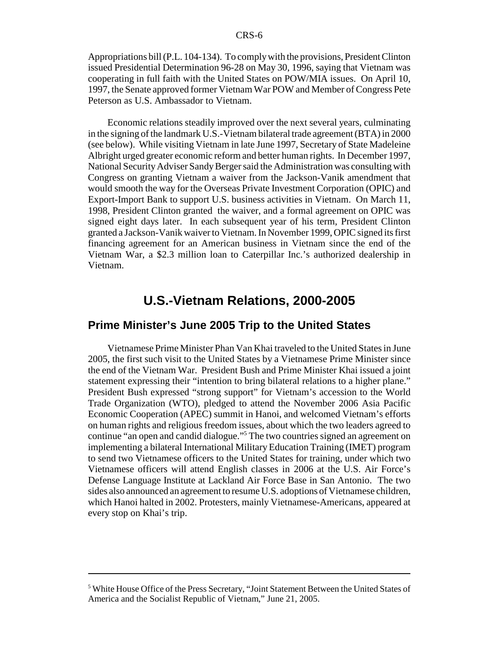Appropriations bill (P.L. 104-134). To comply with the provisions, President Clinton issued Presidential Determination 96-28 on May 30, 1996, saying that Vietnam was cooperating in full faith with the United States on POW/MIA issues. On April 10, 1997, the Senate approved former Vietnam War POW and Member of Congress Pete Peterson as U.S. Ambassador to Vietnam.

Economic relations steadily improved over the next several years, culminating in the signing of the landmark U.S.-Vietnam bilateral trade agreement (BTA) in 2000 (see below). While visiting Vietnam in late June 1997, Secretary of State Madeleine Albright urged greater economic reform and better human rights. In December 1997, National Security Adviser Sandy Berger said the Administration was consulting with Congress on granting Vietnam a waiver from the Jackson-Vanik amendment that would smooth the way for the Overseas Private Investment Corporation (OPIC) and Export-Import Bank to support U.S. business activities in Vietnam. On March 11, 1998, President Clinton granted the waiver, and a formal agreement on OPIC was signed eight days later. In each subsequent year of his term, President Clinton granted a Jackson-Vanik waiver to Vietnam. In November 1999, OPIC signed its first financing agreement for an American business in Vietnam since the end of the Vietnam War, a \$2.3 million loan to Caterpillar Inc.'s authorized dealership in Vietnam.

# **U.S.-Vietnam Relations, 2000-2005**

#### **Prime Minister's June 2005 Trip to the United States**

Vietnamese Prime Minister Phan Van Khai traveled to the United States in June 2005, the first such visit to the United States by a Vietnamese Prime Minister since the end of the Vietnam War. President Bush and Prime Minister Khai issued a joint statement expressing their "intention to bring bilateral relations to a higher plane." President Bush expressed "strong support" for Vietnam's accession to the World Trade Organization (WTO), pledged to attend the November 2006 Asia Pacific Economic Cooperation (APEC) summit in Hanoi, and welcomed Vietnam's efforts on human rights and religious freedom issues, about which the two leaders agreed to continue "an open and candid dialogue."5 The two countries signed an agreement on implementing a bilateral International Military Education Training (IMET) program to send two Vietnamese officers to the United States for training, under which two Vietnamese officers will attend English classes in 2006 at the U.S. Air Force's Defense Language Institute at Lackland Air Force Base in San Antonio. The two sides also announced an agreement to resume U.S. adoptions of Vietnamese children, which Hanoi halted in 2002. Protesters, mainly Vietnamese-Americans, appeared at every stop on Khai's trip.

<sup>&</sup>lt;sup>5</sup> White House Office of the Press Secretary, "Joint Statement Between the United States of America and the Socialist Republic of Vietnam," June 21, 2005.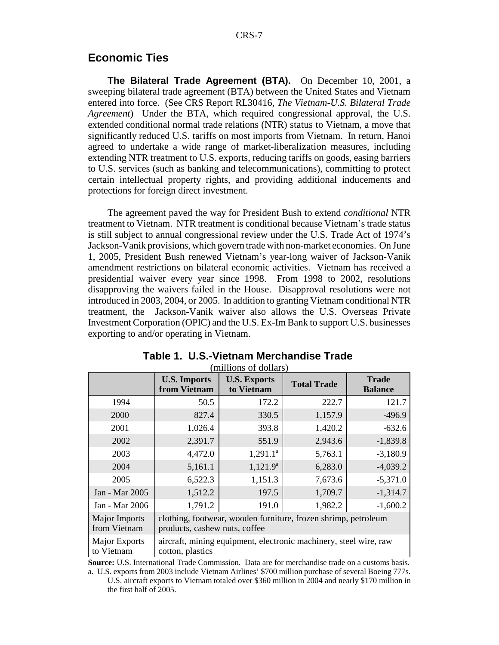### **Economic Ties**

**The Bilateral Trade Agreement (BTA).** On December 10, 2001, a sweeping bilateral trade agreement (BTA) between the United States and Vietnam entered into force. (See CRS Report RL30416, *The Vietnam-U.S. Bilateral Trade Agreement*) Under the BTA, which required congressional approval, the U.S. extended conditional normal trade relations (NTR) status to Vietnam, a move that significantly reduced U.S. tariffs on most imports from Vietnam. In return, Hanoi agreed to undertake a wide range of market-liberalization measures, including extending NTR treatment to U.S. exports, reducing tariffs on goods, easing barriers to U.S. services (such as banking and telecommunications), committing to protect certain intellectual property rights, and providing additional inducements and protections for foreign direct investment.

The agreement paved the way for President Bush to extend *conditional* NTR treatment to Vietnam. NTR treatment is conditional because Vietnam's trade status is still subject to annual congressional review under the U.S. Trade Act of 1974's Jackson-Vanik provisions, which govern trade with non-market economies. On June 1, 2005, President Bush renewed Vietnam's year-long waiver of Jackson-Vanik amendment restrictions on bilateral economic activities. Vietnam has received a presidential waiver every year since 1998. From 1998 to 2002, resolutions disapproving the waivers failed in the House. Disapproval resolutions were not introduced in 2003, 2004, or 2005. In addition to granting Vietnam conditional NTR treatment, the Jackson-Vanik waiver also allows the U.S. Overseas Private Investment Corporation (OPIC) and the U.S. Ex-Im Bank to support U.S. businesses exporting to and/or operating in Vietnam.

|                                    | <b>U.S. Imports</b><br>from Vietnam | <b>U.S. Exports</b><br>to Vietnam                                 | <b>Total Trade</b> | <b>Trade</b><br><b>Balance</b> |
|------------------------------------|-------------------------------------|-------------------------------------------------------------------|--------------------|--------------------------------|
| 1994                               | 50.5                                | 172.2                                                             | 222.7              | 121.7                          |
| 2000                               | 827.4                               | 330.5                                                             | 1,157.9            | $-496.9$                       |
| 2001                               | 1,026.4                             | 393.8                                                             | 1,420.2            | $-632.6$                       |
| 2002                               | 2,391.7                             | 551.9                                                             | 2,943.6            | $-1,839.8$                     |
| 2003                               | 4,472.0                             | $1,291.1^a$                                                       | 5,763.1            | $-3,180.9$                     |
| 2004                               | 5,161.1                             | $1,121.9^a$                                                       | 6,283.0            | $-4,039.2$                     |
| 2005                               | 6,522.3                             | 1,151.3                                                           | 7,673.6            | $-5,371.0$                     |
| Jan - Mar 2005                     | 1,512.2                             | 197.5                                                             | 1,709.7            | $-1,314.7$                     |
| Jan - Mar 2006                     | 1,791.2                             | 191.0                                                             | 1,982.2            | $-1,600.2$                     |
| Major Imports<br>from Vietnam      | products, cashew nuts, coffee       | clothing, footwear, wooden furniture, frozen shrimp, petroleum    |                    |                                |
| <b>Major Exports</b><br>to Vietnam | cotton, plastics                    | aircraft, mining equipment, electronic machinery, steel wire, raw |                    |                                |

| Table 1. U.S.-Vietnam Merchandise Trade |
|-----------------------------------------|
| (millions of dollars)                   |

**Source:** U.S. International Trade Commission. Data are for merchandise trade on a customs basis.

a. U.S. exports from 2003 include Vietnam Airlines' \$700 million purchase of several Boeing 777s. U.S. aircraft exports to Vietnam totaled over \$360 million in 2004 and nearly \$170 million in the first half of 2005.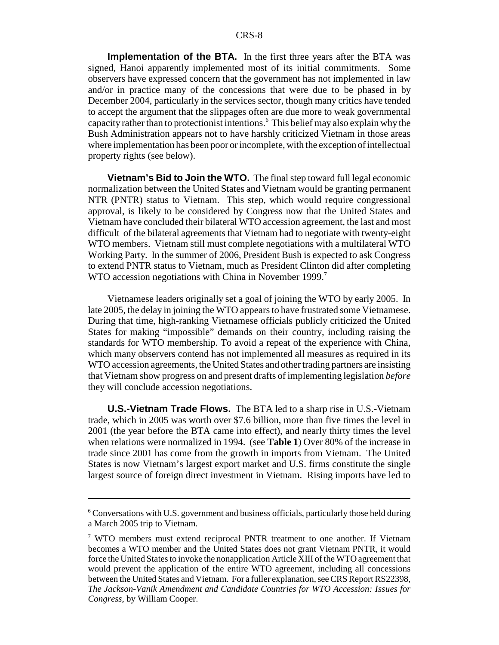**Implementation of the BTA.** In the first three years after the BTA was signed, Hanoi apparently implemented most of its initial commitments. Some observers have expressed concern that the government has not implemented in law and/or in practice many of the concessions that were due to be phased in by December 2004, particularly in the services sector, though many critics have tended to accept the argument that the slippages often are due more to weak governmental capacity rather than to protectionist intentions.6 This belief may also explain why the Bush Administration appears not to have harshly criticized Vietnam in those areas where implementation has been poor or incomplete, with the exception of intellectual property rights (see below).

**Vietnam's Bid to Join the WTO.** The final step toward full legal economic normalization between the United States and Vietnam would be granting permanent NTR (PNTR) status to Vietnam. This step, which would require congressional approval, is likely to be considered by Congress now that the United States and Vietnam have concluded their bilateral WTO accession agreement, the last and most difficult of the bilateral agreements that Vietnam had to negotiate with twenty-eight WTO members. Vietnam still must complete negotiations with a multilateral WTO Working Party. In the summer of 2006, President Bush is expected to ask Congress to extend PNTR status to Vietnam, much as President Clinton did after completing WTO accession negotiations with China in November 1999.<sup>7</sup>

Vietnamese leaders originally set a goal of joining the WTO by early 2005. In late 2005, the delay in joining the WTO appears to have frustrated some Vietnamese. During that time, high-ranking Vietnamese officials publicly criticized the United States for making "impossible" demands on their country, including raising the standards for WTO membership. To avoid a repeat of the experience with China, which many observers contend has not implemented all measures as required in its WTO accession agreements, the United States and other trading partners are insisting that Vietnam show progress on and present drafts of implementing legislation *before* they will conclude accession negotiations.

**U.S.-Vietnam Trade Flows.** The BTA led to a sharp rise in U.S.-Vietnam trade, which in 2005 was worth over \$7.6 billion, more than five times the level in 2001 (the year before the BTA came into effect), and nearly thirty times the level when relations were normalized in 1994. (see **Table 1**) Over 80% of the increase in trade since 2001 has come from the growth in imports from Vietnam. The United States is now Vietnam's largest export market and U.S. firms constitute the single largest source of foreign direct investment in Vietnam. Rising imports have led to

<sup>&</sup>lt;sup>6</sup> Conversations with U.S. government and business officials, particularly those held during a March 2005 trip to Vietnam.

<sup>&</sup>lt;sup>7</sup> WTO members must extend reciprocal PNTR treatment to one another. If Vietnam becomes a WTO member and the United States does not grant Vietnam PNTR, it would force the United States to invoke the nonapplication Article XIII of the WTO agreement that would prevent the application of the entire WTO agreement, including all concessions between the United States and Vietnam. For a fuller explanation, see CRS Report RS22398, *The Jackson-Vanik Amendment and Candidate Countries for WTO Accession: Issues for Congress*, by William Cooper.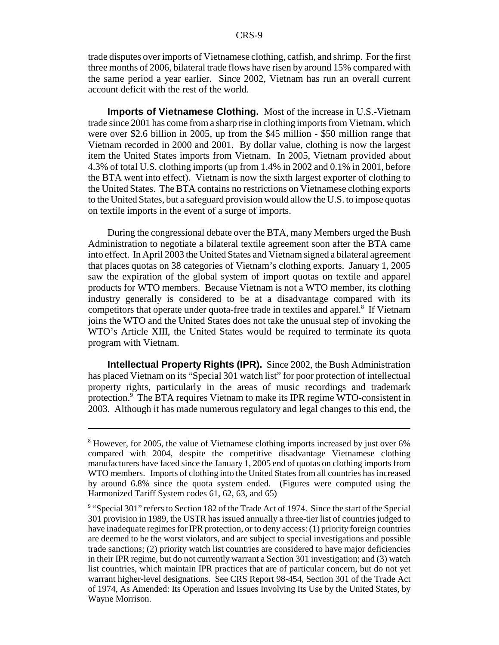trade disputes over imports of Vietnamese clothing, catfish, and shrimp. For the first three months of 2006, bilateral trade flows have risen by around 15% compared with the same period a year earlier. Since 2002, Vietnam has run an overall current account deficit with the rest of the world.

**Imports of Vietnamese Clothing.** Most of the increase in U.S.-Vietnam trade since 2001 has come from a sharp rise in clothing imports from Vietnam, which were over \$2.6 billion in 2005, up from the \$45 million - \$50 million range that Vietnam recorded in 2000 and 2001. By dollar value, clothing is now the largest item the United States imports from Vietnam. In 2005, Vietnam provided about 4.3% of total U.S. clothing imports (up from 1.4% in 2002 and 0.1% in 2001, before the BTA went into effect). Vietnam is now the sixth largest exporter of clothing to the United States. The BTA contains no restrictions on Vietnamese clothing exports to the United States, but a safeguard provision would allow the U.S. to impose quotas on textile imports in the event of a surge of imports.

During the congressional debate over the BTA, many Members urged the Bush Administration to negotiate a bilateral textile agreement soon after the BTA came into effect. In April 2003 the United States and Vietnam signed a bilateral agreement that places quotas on 38 categories of Vietnam's clothing exports. January 1, 2005 saw the expiration of the global system of import quotas on textile and apparel products for WTO members. Because Vietnam is not a WTO member, its clothing industry generally is considered to be at a disadvantage compared with its competitors that operate under quota-free trade in textiles and apparel.<sup>8</sup> If Vietnam joins the WTO and the United States does not take the unusual step of invoking the WTO's Article XIII, the United States would be required to terminate its quota program with Vietnam.

**Intellectual Property Rights (IPR).** Since 2002, the Bush Administration has placed Vietnam on its "Special 301 watch list" for poor protection of intellectual property rights, particularly in the areas of music recordings and trademark protection.<sup>9</sup> The BTA requires Vietnam to make its IPR regime WTO-consistent in 2003. Although it has made numerous regulatory and legal changes to this end, the

<sup>&</sup>lt;sup>8</sup> However, for 2005, the value of Vietnamese clothing imports increased by just over 6% compared with 2004, despite the competitive disadvantage Vietnamese clothing manufacturers have faced since the January 1, 2005 end of quotas on clothing imports from WTO members. Imports of clothing into the United States from all countries has increased by around 6.8% since the quota system ended. (Figures were computed using the Harmonized Tariff System codes 61, 62, 63, and 65)

<sup>&</sup>lt;sup>9</sup> "Special 301" refers to Section 182 of the Trade Act of 1974. Since the start of the Special 301 provision in 1989, the USTR has issued annually a three-tier list of countries judged to have inadequate regimes for IPR protection, or to deny access: (1) priority foreign countries are deemed to be the worst violators, and are subject to special investigations and possible trade sanctions; (2) priority watch list countries are considered to have major deficiencies in their IPR regime, but do not currently warrant a Section 301 investigation; and (3) watch list countries, which maintain IPR practices that are of particular concern, but do not yet warrant higher-level designations. See CRS Report 98-454, Section 301 of the Trade Act of 1974, As Amended: Its Operation and Issues Involving Its Use by the United States, by Wayne Morrison.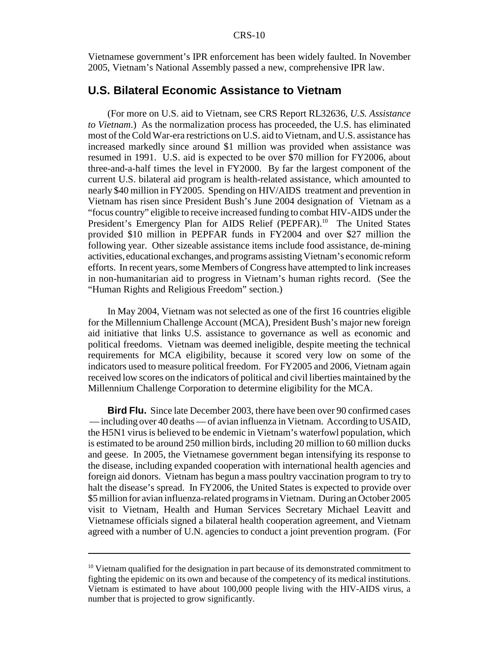Vietnamese government's IPR enforcement has been widely faulted. In November 2005, Vietnam's National Assembly passed a new, comprehensive IPR law.

#### **U.S. Bilateral Economic Assistance to Vietnam**

(For more on U.S. aid to Vietnam, see CRS Report RL32636, *U.S. Assistance to Vietnam*.) As the normalization process has proceeded, the U.S. has eliminated most of the Cold War-era restrictions on U.S. aid to Vietnam, and U.S. assistance has increased markedly since around \$1 million was provided when assistance was resumed in 1991. U.S. aid is expected to be over \$70 million for FY2006, about three-and-a-half times the level in FY2000. By far the largest component of the current U.S. bilateral aid program is health-related assistance, which amounted to nearly \$40 million in FY2005. Spending on HIV/AIDS treatment and prevention in Vietnam has risen since President Bush's June 2004 designation of Vietnam as a "focus country" eligible to receive increased funding to combat HIV-AIDS under the President's Emergency Plan for AIDS Relief (PEPFAR).<sup>10</sup> The United States provided \$10 million in PEPFAR funds in FY2004 and over \$27 million the following year. Other sizeable assistance items include food assistance, de-mining activities, educational exchanges, and programs assisting Vietnam's economic reform efforts. In recent years, some Members of Congress have attempted to link increases in non-humanitarian aid to progress in Vietnam's human rights record. (See the "Human Rights and Religious Freedom" section.)

In May 2004, Vietnam was not selected as one of the first 16 countries eligible for the Millennium Challenge Account (MCA), President Bush's major new foreign aid initiative that links U.S. assistance to governance as well as economic and political freedoms. Vietnam was deemed ineligible, despite meeting the technical requirements for MCA eligibility, because it scored very low on some of the indicators used to measure political freedom. For FY2005 and 2006, Vietnam again received low scores on the indicators of political and civil liberties maintained by the Millennium Challenge Corporation to determine eligibility for the MCA.

**Bird Flu.** Since late December 2003, there have been over 90 confirmed cases — including over 40 deaths — of avian influenza in Vietnam. According to USAID, the H5N1 virus is believed to be endemic in Vietnam's waterfowl population, which is estimated to be around 250 million birds, including 20 million to 60 million ducks and geese. In 2005, the Vietnamese government began intensifying its response to the disease, including expanded cooperation with international health agencies and foreign aid donors. Vietnam has begun a mass poultry vaccination program to try to halt the disease's spread. In FY2006, the United States is expected to provide over \$5 million for avian influenza-related programs in Vietnam. During an October 2005 visit to Vietnam, Health and Human Services Secretary Michael Leavitt and Vietnamese officials signed a bilateral health cooperation agreement, and Vietnam agreed with a number of U.N. agencies to conduct a joint prevention program. (For

<sup>&</sup>lt;sup>10</sup> Vietnam qualified for the designation in part because of its demonstrated commitment to fighting the epidemic on its own and because of the competency of its medical institutions. Vietnam is estimated to have about 100,000 people living with the HIV-AIDS virus, a number that is projected to grow significantly.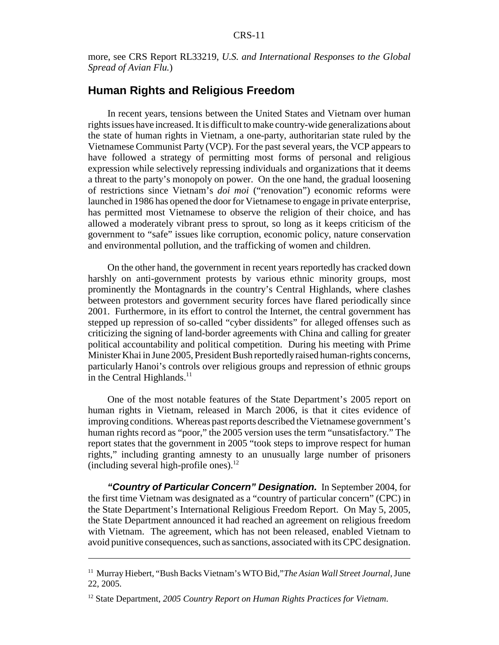more, see CRS Report RL33219, *U.S. and International Responses to the Global Spread of Avian Flu.*)

### **Human Rights and Religious Freedom**

In recent years, tensions between the United States and Vietnam over human rights issues have increased. It is difficult to make country-wide generalizations about the state of human rights in Vietnam, a one-party, authoritarian state ruled by the Vietnamese Communist Party (VCP). For the past several years, the VCP appears to have followed a strategy of permitting most forms of personal and religious expression while selectively repressing individuals and organizations that it deems a threat to the party's monopoly on power. On the one hand, the gradual loosening of restrictions since Vietnam's *doi moi* ("renovation") economic reforms were launched in 1986 has opened the door for Vietnamese to engage in private enterprise, has permitted most Vietnamese to observe the religion of their choice, and has allowed a moderately vibrant press to sprout, so long as it keeps criticism of the government to "safe" issues like corruption, economic policy, nature conservation and environmental pollution, and the trafficking of women and children.

On the other hand, the government in recent years reportedly has cracked down harshly on anti-government protests by various ethnic minority groups, most prominently the Montagnards in the country's Central Highlands, where clashes between protestors and government security forces have flared periodically since 2001. Furthermore, in its effort to control the Internet, the central government has stepped up repression of so-called "cyber dissidents" for alleged offenses such as criticizing the signing of land-border agreements with China and calling for greater political accountability and political competition. During his meeting with Prime Minister Khai in June 2005, President Bush reportedly raised human-rights concerns, particularly Hanoi's controls over religious groups and repression of ethnic groups in the Central Highlands. $^{11}$ 

One of the most notable features of the State Department's 2005 report on human rights in Vietnam, released in March 2006, is that it cites evidence of improving conditions. Whereas past reports described the Vietnamese government's human rights record as "poor," the 2005 version uses the term "unsatisfactory." The report states that the government in 2005 "took steps to improve respect for human rights," including granting amnesty to an unusually large number of prisoners (including several high-profile ones).<sup>12</sup>

*"Country of Particular Concern" Designation.* In September 2004, for the first time Vietnam was designated as a "country of particular concern" (CPC) in the State Department's International Religious Freedom Report. On May 5, 2005, the State Department announced it had reached an agreement on religious freedom with Vietnam. The agreement, which has not been released, enabled Vietnam to avoid punitive consequences, such as sanctions, associated with its CPC designation.

<sup>&</sup>lt;sup>11</sup> Murray Hiebert, "Bush Backs Vietnam's WTO Bid," The Asian Wall Street Journal, June 22, 2005.

<sup>12</sup> State Department, *2005 Country Report on Human Rights Practices for Vietnam*.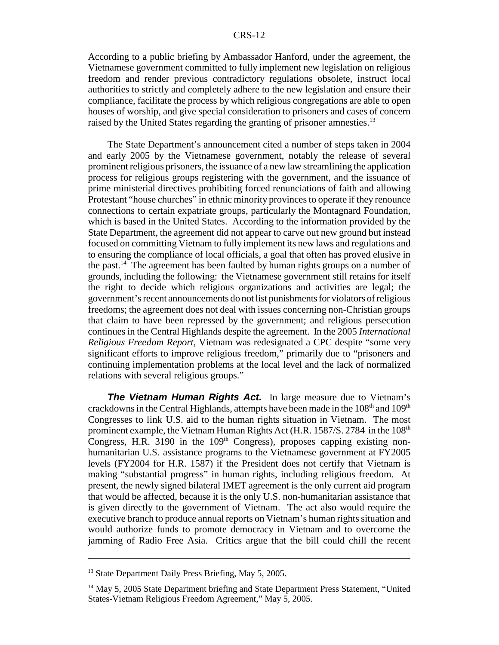According to a public briefing by Ambassador Hanford, under the agreement, the Vietnamese government committed to fully implement new legislation on religious freedom and render previous contradictory regulations obsolete, instruct local authorities to strictly and completely adhere to the new legislation and ensure their compliance, facilitate the process by which religious congregations are able to open houses of worship, and give special consideration to prisoners and cases of concern raised by the United States regarding the granting of prisoner amnesties.<sup>13</sup>

The State Department's announcement cited a number of steps taken in 2004 and early 2005 by the Vietnamese government, notably the release of several prominent religious prisoners, the issuance of a new law streamlining the application process for religious groups registering with the government, and the issuance of prime ministerial directives prohibiting forced renunciations of faith and allowing Protestant "house churches" in ethnic minority provinces to operate if they renounce connections to certain expatriate groups, particularly the Montagnard Foundation, which is based in the United States. According to the information provided by the State Department, the agreement did not appear to carve out new ground but instead focused on committing Vietnam to fully implement its new laws and regulations and to ensuring the compliance of local officials, a goal that often has proved elusive in the past.<sup>14</sup> The agreement has been faulted by human rights groups on a number of grounds, including the following: the Vietnamese government still retains for itself the right to decide which religious organizations and activities are legal; the government's recent announcements do not list punishments for violators of religious freedoms; the agreement does not deal with issues concerning non-Christian groups that claim to have been repressed by the government; and religious persecution continues in the Central Highlands despite the agreement. In the 2005 *International Religious Freedom Report*, Vietnam was redesignated a CPC despite "some very significant efforts to improve religious freedom," primarily due to "prisoners and continuing implementation problems at the local level and the lack of normalized relations with several religious groups."

**The Vietnam Human Rights Act.** In large measure due to Vietnam's crackdowns in the Central Highlands, attempts have been made in the  $108<sup>th</sup>$  and  $109<sup>th</sup>$ Congresses to link U.S. aid to the human rights situation in Vietnam. The most prominent example, the Vietnam Human Rights Act (H.R. 1587/S. 2784 in the 108<sup>th</sup> Congress, H.R. 3190 in the  $109<sup>th</sup>$  Congress), proposes capping existing nonhumanitarian U.S. assistance programs to the Vietnamese government at FY2005 levels (FY2004 for H.R. 1587) if the President does not certify that Vietnam is making "substantial progress" in human rights, including religious freedom. At present, the newly signed bilateral IMET agreement is the only current aid program that would be affected, because it is the only U.S. non-humanitarian assistance that is given directly to the government of Vietnam. The act also would require the executive branch to produce annual reports on Vietnam's human rights situation and would authorize funds to promote democracy in Vietnam and to overcome the jamming of Radio Free Asia. Critics argue that the bill could chill the recent

<sup>&</sup>lt;sup>13</sup> State Department Daily Press Briefing, May 5, 2005.

<sup>&</sup>lt;sup>14</sup> May 5, 2005 State Department briefing and State Department Press Statement, "United States-Vietnam Religious Freedom Agreement," May 5, 2005.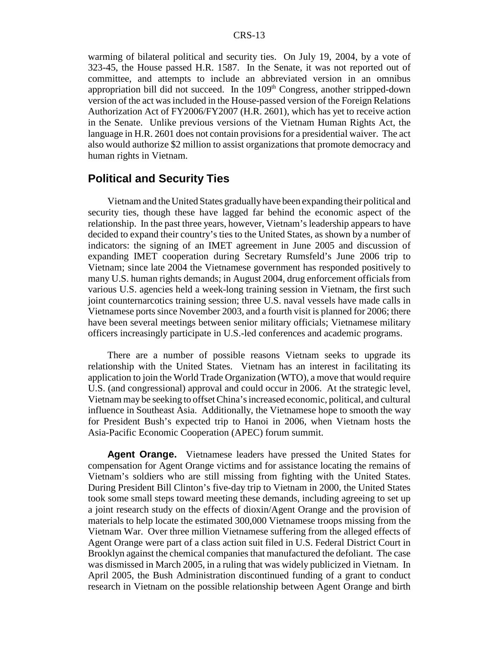warming of bilateral political and security ties. On July 19, 2004, by a vote of 323-45, the House passed H.R. 1587. In the Senate, it was not reported out of committee, and attempts to include an abbreviated version in an omnibus appropriation bill did not succeed. In the  $109<sup>th</sup>$  Congress, another stripped-down version of the act was included in the House-passed version of the Foreign Relations Authorization Act of FY2006/FY2007 (H.R. 2601), which has yet to receive action in the Senate. Unlike previous versions of the Vietnam Human Rights Act, the language in H.R. 2601 does not contain provisions for a presidential waiver. The act also would authorize \$2 million to assist organizations that promote democracy and human rights in Vietnam.

### **Political and Security Ties**

Vietnam and the United States gradually have been expanding their political and security ties, though these have lagged far behind the economic aspect of the relationship. In the past three years, however, Vietnam's leadership appears to have decided to expand their country's ties to the United States, as shown by a number of indicators: the signing of an IMET agreement in June 2005 and discussion of expanding IMET cooperation during Secretary Rumsfeld's June 2006 trip to Vietnam; since late 2004 the Vietnamese government has responded positively to many U.S. human rights demands; in August 2004, drug enforcement officials from various U.S. agencies held a week-long training session in Vietnam, the first such joint counternarcotics training session; three U.S. naval vessels have made calls in Vietnamese ports since November 2003, and a fourth visit is planned for 2006; there have been several meetings between senior military officials; Vietnamese military officers increasingly participate in U.S.-led conferences and academic programs.

There are a number of possible reasons Vietnam seeks to upgrade its relationship with the United States. Vietnam has an interest in facilitating its application to join the World Trade Organization (WTO), a move that would require U.S. (and congressional) approval and could occur in 2006. At the strategic level, Vietnam may be seeking to offset China's increased economic, political, and cultural influence in Southeast Asia. Additionally, the Vietnamese hope to smooth the way for President Bush's expected trip to Hanoi in 2006, when Vietnam hosts the Asia-Pacific Economic Cooperation (APEC) forum summit.

**Agent Orange.** Vietnamese leaders have pressed the United States for compensation for Agent Orange victims and for assistance locating the remains of Vietnam's soldiers who are still missing from fighting with the United States. During President Bill Clinton's five-day trip to Vietnam in 2000, the United States took some small steps toward meeting these demands, including agreeing to set up a joint research study on the effects of dioxin/Agent Orange and the provision of materials to help locate the estimated 300,000 Vietnamese troops missing from the Vietnam War. Over three million Vietnamese suffering from the alleged effects of Agent Orange were part of a class action suit filed in U.S. Federal District Court in Brooklyn against the chemical companies that manufactured the defoliant. The case was dismissed in March 2005, in a ruling that was widely publicized in Vietnam. In April 2005, the Bush Administration discontinued funding of a grant to conduct research in Vietnam on the possible relationship between Agent Orange and birth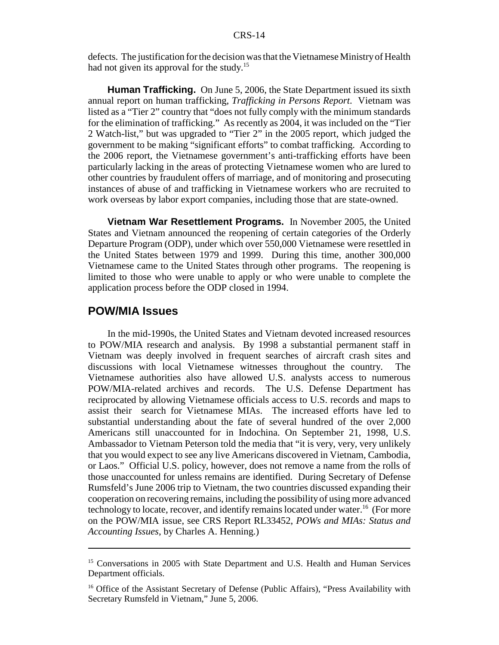defects. The justification for the decision was that the Vietnamese Ministry of Health had not given its approval for the study.<sup>15</sup>

**Human Trafficking.** On June 5, 2006, the State Department issued its sixth annual report on human trafficking, *Trafficking in Persons Report*. Vietnam was listed as a "Tier 2" country that "does not fully comply with the minimum standards for the elimination of trafficking." As recently as 2004, it was included on the "Tier 2 Watch-list," but was upgraded to "Tier 2" in the 2005 report, which judged the government to be making "significant efforts" to combat trafficking. According to the 2006 report, the Vietnamese government's anti-trafficking efforts have been particularly lacking in the areas of protecting Vietnamese women who are lured to other countries by fraudulent offers of marriage, and of monitoring and prosecuting instances of abuse of and trafficking in Vietnamese workers who are recruited to work overseas by labor export companies, including those that are state-owned.

**Vietnam War Resettlement Programs.** In November 2005, the United States and Vietnam announced the reopening of certain categories of the Orderly Departure Program (ODP), under which over 550,000 Vietnamese were resettled in the United States between 1979 and 1999. During this time, another 300,000 Vietnamese came to the United States through other programs. The reopening is limited to those who were unable to apply or who were unable to complete the application process before the ODP closed in 1994.

#### **POW/MIA Issues**

In the mid-1990s, the United States and Vietnam devoted increased resources to POW/MIA research and analysis. By 1998 a substantial permanent staff in Vietnam was deeply involved in frequent searches of aircraft crash sites and discussions with local Vietnamese witnesses throughout the country. The Vietnamese authorities also have allowed U.S. analysts access to numerous POW/MIA-related archives and records. The U.S. Defense Department has reciprocated by allowing Vietnamese officials access to U.S. records and maps to assist their search for Vietnamese MIAs. The increased efforts have led to substantial understanding about the fate of several hundred of the over 2,000 Americans still unaccounted for in Indochina. On September 21, 1998, U.S. Ambassador to Vietnam Peterson told the media that "it is very, very, very unlikely that you would expect to see any live Americans discovered in Vietnam, Cambodia, or Laos." Official U.S. policy, however, does not remove a name from the rolls of those unaccounted for unless remains are identified. During Secretary of Defense Rumsfeld's June 2006 trip to Vietnam, the two countries discussed expanding their cooperation on recovering remains, including the possibility of using more advanced technology to locate, recover, and identify remains located under water.<sup>16</sup> (For more on the POW/MIA issue, see CRS Report RL33452, *POWs and MIAs: Status and Accounting Issues*, by Charles A. Henning.)

<sup>&</sup>lt;sup>15</sup> Conversations in 2005 with State Department and U.S. Health and Human Services Department officials.

<sup>&</sup>lt;sup>16</sup> Office of the Assistant Secretary of Defense (Public Affairs), "Press Availability with Secretary Rumsfeld in Vietnam," June 5, 2006.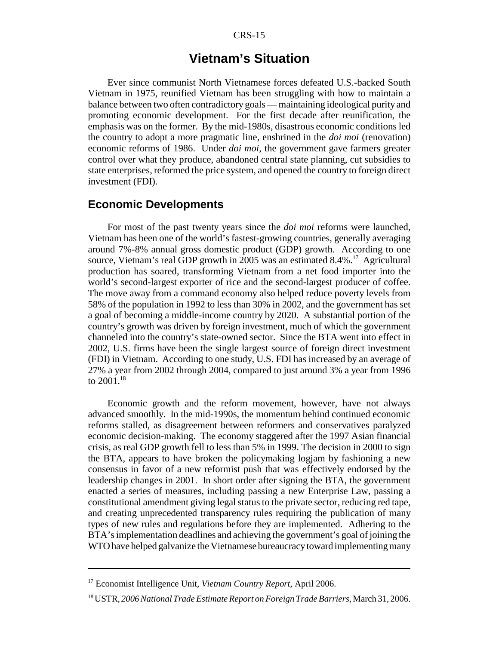#### CRS-15

# **Vietnam's Situation**

Ever since communist North Vietnamese forces defeated U.S.-backed South Vietnam in 1975, reunified Vietnam has been struggling with how to maintain a balance between two often contradictory goals — maintaining ideological purity and promoting economic development. For the first decade after reunification, the emphasis was on the former. By the mid-1980s, disastrous economic conditions led the country to adopt a more pragmatic line, enshrined in the *doi moi* (renovation) economic reforms of 1986. Under *doi moi*, the government gave farmers greater control over what they produce, abandoned central state planning, cut subsidies to state enterprises, reformed the price system, and opened the country to foreign direct investment (FDI).

# **Economic Developments**

For most of the past twenty years since the *doi moi* reforms were launched, Vietnam has been one of the world's fastest-growing countries, generally averaging around 7%-8% annual gross domestic product (GDP) growth. According to one source, Vietnam's real GDP growth in 2005 was an estimated 8.4%.<sup>17</sup> Agricultural production has soared, transforming Vietnam from a net food importer into the world's second-largest exporter of rice and the second-largest producer of coffee. The move away from a command economy also helped reduce poverty levels from 58% of the population in 1992 to less than 30% in 2002, and the government has set a goal of becoming a middle-income country by 2020. A substantial portion of the country's growth was driven by foreign investment, much of which the government channeled into the country's state-owned sector. Since the BTA went into effect in 2002, U.S. firms have been the single largest source of foreign direct investment (FDI) in Vietnam. According to one study, U.S. FDI has increased by an average of 27% a year from 2002 through 2004, compared to just around 3% a year from 1996 to  $2001$ <sup>18</sup>

Economic growth and the reform movement, however, have not always advanced smoothly. In the mid-1990s, the momentum behind continued economic reforms stalled, as disagreement between reformers and conservatives paralyzed economic decision-making. The economy staggered after the 1997 Asian financial crisis, as real GDP growth fell to less than 5% in 1999. The decision in 2000 to sign the BTA, appears to have broken the policymaking logjam by fashioning a new consensus in favor of a new reformist push that was effectively endorsed by the leadership changes in 2001. In short order after signing the BTA, the government enacted a series of measures, including passing a new Enterprise Law, passing a constitutional amendment giving legal status to the private sector, reducing red tape, and creating unprecedented transparency rules requiring the publication of many types of new rules and regulations before they are implemented. Adhering to the BTA's implementation deadlines and achieving the government's goal of joining the WTO have helped galvanize the Vietnamese bureaucracy toward implementing many

<sup>17</sup> Economist Intelligence Unit, *Vietnam Country Report*, April 2006.

<sup>18</sup> USTR, *2006 National Trade Estimate Report on Foreign Trade Barriers*, March 31, 2006.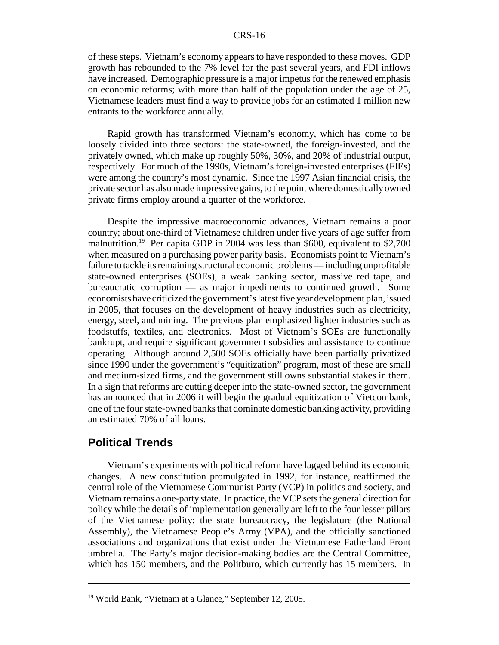#### CRS-16

of these steps. Vietnam's economy appears to have responded to these moves. GDP growth has rebounded to the 7% level for the past several years, and FDI inflows have increased. Demographic pressure is a major impetus for the renewed emphasis on economic reforms; with more than half of the population under the age of 25, Vietnamese leaders must find a way to provide jobs for an estimated 1 million new entrants to the workforce annually.

Rapid growth has transformed Vietnam's economy, which has come to be loosely divided into three sectors: the state-owned, the foreign-invested, and the privately owned, which make up roughly 50%, 30%, and 20% of industrial output, respectively. For much of the 1990s, Vietnam's foreign-invested enterprises (FIEs) were among the country's most dynamic. Since the 1997 Asian financial crisis, the private sector has also made impressive gains, to the point where domestically owned private firms employ around a quarter of the workforce.

Despite the impressive macroeconomic advances, Vietnam remains a poor country; about one-third of Vietnamese children under five years of age suffer from malnutrition.<sup>19</sup> Per capita GDP in 2004 was less than \$600, equivalent to \$2,700 when measured on a purchasing power parity basis. Economists point to Vietnam's failure to tackle its remaining structural economic problems — including unprofitable state-owned enterprises (SOEs), a weak banking sector, massive red tape, and bureaucratic corruption — as major impediments to continued growth. Some economists have criticized the government's latest five year development plan, issued in 2005, that focuses on the development of heavy industries such as electricity, energy, steel, and mining. The previous plan emphasized lighter industries such as foodstuffs, textiles, and electronics. Most of Vietnam's SOEs are functionally bankrupt, and require significant government subsidies and assistance to continue operating. Although around 2,500 SOEs officially have been partially privatized since 1990 under the government's "equitization" program, most of these are small and medium-sized firms, and the government still owns substantial stakes in them. In a sign that reforms are cutting deeper into the state-owned sector, the government has announced that in 2006 it will begin the gradual equitization of Vietcombank, one of the four state-owned banks that dominate domestic banking activity, providing an estimated 70% of all loans.

#### **Political Trends**

Vietnam's experiments with political reform have lagged behind its economic changes. A new constitution promulgated in 1992, for instance, reaffirmed the central role of the Vietnamese Communist Party (VCP) in politics and society, and Vietnam remains a one-party state. In practice, the VCP sets the general direction for policy while the details of implementation generally are left to the four lesser pillars of the Vietnamese polity: the state bureaucracy, the legislature (the National Assembly), the Vietnamese People's Army (VPA), and the officially sanctioned associations and organizations that exist under the Vietnamese Fatherland Front umbrella. The Party's major decision-making bodies are the Central Committee, which has 150 members, and the Politburo, which currently has 15 members. In

<sup>19</sup> World Bank, "Vietnam at a Glance," September 12, 2005.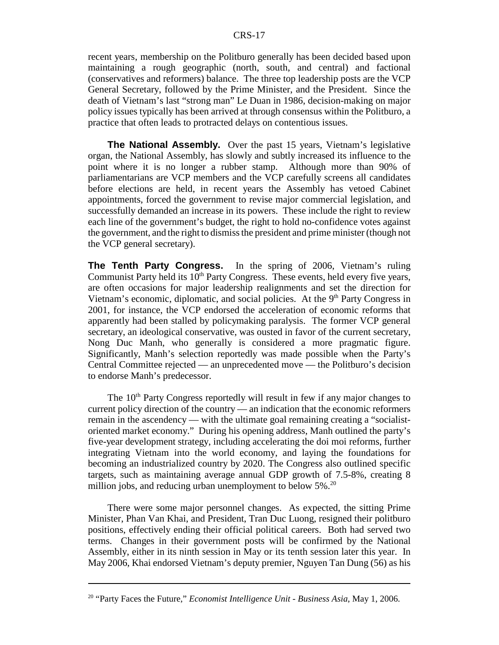recent years, membership on the Politburo generally has been decided based upon maintaining a rough geographic (north, south, and central) and factional (conservatives and reformers) balance. The three top leadership posts are the VCP General Secretary, followed by the Prime Minister, and the President. Since the death of Vietnam's last "strong man" Le Duan in 1986, decision-making on major policy issues typically has been arrived at through consensus within the Politburo, a practice that often leads to protracted delays on contentious issues.

**The National Assembly.** Over the past 15 years, Vietnam's legislative organ, the National Assembly, has slowly and subtly increased its influence to the point where it is no longer a rubber stamp. Although more than 90% of parliamentarians are VCP members and the VCP carefully screens all candidates before elections are held, in recent years the Assembly has vetoed Cabinet appointments, forced the government to revise major commercial legislation, and successfully demanded an increase in its powers. These include the right to review each line of the government's budget, the right to hold no-confidence votes against the government, and the right to dismiss the president and prime minister (though not the VCP general secretary).

**The Tenth Party Congress.** In the spring of 2006, Vietnam's ruling Communist Party held its  $10<sup>th</sup>$  Party Congress. These events, held every five years, are often occasions for major leadership realignments and set the direction for Vietnam's economic, diplomatic, and social policies. At the  $9<sup>th</sup>$  Party Congress in 2001, for instance, the VCP endorsed the acceleration of economic reforms that apparently had been stalled by policymaking paralysis. The former VCP general secretary, an ideological conservative, was ousted in favor of the current secretary, Nong Duc Manh, who generally is considered a more pragmatic figure. Significantly, Manh's selection reportedly was made possible when the Party's Central Committee rejected — an unprecedented move — the Politburo's decision to endorse Manh's predecessor.

The 10<sup>th</sup> Party Congress reportedly will result in few if any major changes to current policy direction of the country — an indication that the economic reformers remain in the ascendency — with the ultimate goal remaining creating a "socialistoriented market economy." During his opening address, Manh outlined the party's five-year development strategy, including accelerating the doi moi reforms, further integrating Vietnam into the world economy, and laying the foundations for becoming an industrialized country by 2020. The Congress also outlined specific targets, such as maintaining average annual GDP growth of 7.5-8%, creating 8 million jobs, and reducing urban unemployment to below 5%.<sup>20</sup>

There were some major personnel changes. As expected, the sitting Prime Minister, Phan Van Khai, and President, Tran Duc Luong, resigned their politburo positions, effectively ending their official political careers. Both had served two terms. Changes in their government posts will be confirmed by the National Assembly, either in its ninth session in May or its tenth session later this year. In May 2006, Khai endorsed Vietnam's deputy premier, Nguyen Tan Dung (56) as his

<sup>20 &</sup>quot;Party Faces the Future," *Economist Intelligence Unit - Business Asia*, May 1, 2006.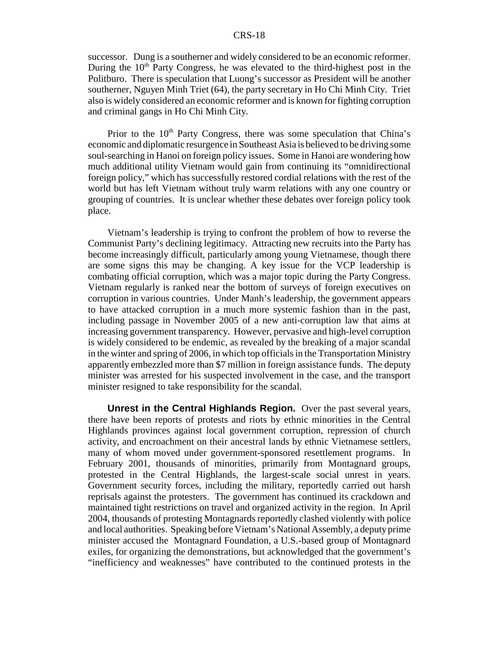successor. Dung is a southerner and widely considered to be an economic reformer. During the 10<sup>th</sup> Party Congress, he was elevated to the third-highest post in the Politburo. There is speculation that Luong's successor as President will be another southerner, Nguyen Minh Triet (64), the party secretary in Ho Chi Minh City. Triet also is widely considered an economic reformer and is known for fighting corruption and criminal gangs in Ho Chi Minh City.

Prior to the  $10<sup>th</sup>$  Party Congress, there was some speculation that China's economic and diplomatic resurgence in Southeast Asia is believed to be driving some soul-searching in Hanoi on foreign policy issues. Some in Hanoi are wondering how much additional utility Vietnam would gain from continuing its "omnidirectional foreign policy," which has successfully restored cordial relations with the rest of the world but has left Vietnam without truly warm relations with any one country or grouping of countries. It is unclear whether these debates over foreign policy took place.

Vietnam's leadership is trying to confront the problem of how to reverse the Communist Party's declining legitimacy. Attracting new recruits into the Party has become increasingly difficult, particularly among young Vietnamese, though there are some signs this may be changing. A key issue for the VCP leadership is combating official corruption, which was a major topic during the Party Congress. Vietnam regularly is ranked near the bottom of surveys of foreign executives on corruption in various countries. Under Manh's leadership, the government appears to have attacked corruption in a much more systemic fashion than in the past, including passage in November 2005 of a new anti-corruption law that aims at increasing government transparency. However, pervasive and high-level corruption is widely considered to be endemic, as revealed by the breaking of a major scandal in the winter and spring of 2006, in which top officials in the Transportation Ministry apparently embezzled more than \$7 million in foreign assistance funds. The deputy minister was arrested for his suspected involvement in the case, and the transport minister resigned to take responsibility for the scandal.

**Unrest in the Central Highlands Region.** Over the past several years, there have been reports of protests and riots by ethnic minorities in the Central Highlands provinces against local government corruption, repression of church activity, and encroachment on their ancestral lands by ethnic Vietnamese settlers, many of whom moved under government-sponsored resettlement programs. In February 2001, thousands of minorities, primarily from Montagnard groups, protested in the Central Highlands, the largest-scale social unrest in years. Government security forces, including the military, reportedly carried out harsh reprisals against the protesters. The government has continued its crackdown and maintained tight restrictions on travel and organized activity in the region. In April 2004, thousands of protesting Montagnards reportedly clashed violently with police and local authorities. Speaking before Vietnam's National Assembly, a deputy prime minister accused the Montagnard Foundation, a U.S.-based group of Montagnard exiles, for organizing the demonstrations, but acknowledged that the government's "inefficiency and weaknesses" have contributed to the continued protests in the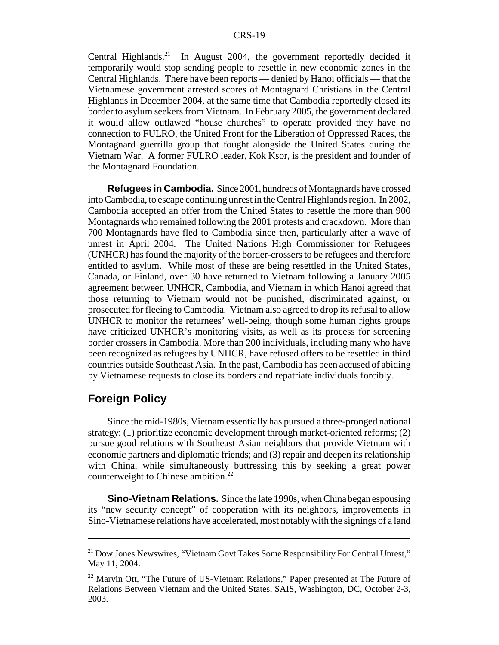Central Highlands.<sup>21</sup> In August 2004, the government reportedly decided it temporarily would stop sending people to resettle in new economic zones in the Central Highlands. There have been reports — denied by Hanoi officials — that the Vietnamese government arrested scores of Montagnard Christians in the Central Highlands in December 2004, at the same time that Cambodia reportedly closed its border to asylum seekers from Vietnam. In February 2005, the government declared it would allow outlawed "house churches" to operate provided they have no connection to FULRO, the United Front for the Liberation of Oppressed Races, the Montagnard guerrilla group that fought alongside the United States during the Vietnam War. A former FULRO leader, Kok Ksor, is the president and founder of the Montagnard Foundation.

**Refugees in Cambodia.** Since 2001, hundreds of Montagnards have crossed into Cambodia, to escape continuing unrest in the Central Highlands region. In 2002, Cambodia accepted an offer from the United States to resettle the more than 900 Montagnards who remained following the 2001 protests and crackdown. More than 700 Montagnards have fled to Cambodia since then, particularly after a wave of unrest in April 2004. The United Nations High Commissioner for Refugees (UNHCR) has found the majority of the border-crossers to be refugees and therefore entitled to asylum. While most of these are being resettled in the United States, Canada, or Finland, over 30 have returned to Vietnam following a January 2005 agreement between UNHCR, Cambodia, and Vietnam in which Hanoi agreed that those returning to Vietnam would not be punished, discriminated against, or prosecuted for fleeing to Cambodia. Vietnam also agreed to drop its refusal to allow UNHCR to monitor the returnees' well-being, though some human rights groups have criticized UNHCR's monitoring visits, as well as its process for screening border crossers in Cambodia. More than 200 individuals, including many who have been recognized as refugees by UNHCR, have refused offers to be resettled in third countries outside Southeast Asia. In the past, Cambodia has been accused of abiding by Vietnamese requests to close its borders and repatriate individuals forcibly.

### **Foreign Policy**

Since the mid-1980s, Vietnam essentially has pursued a three-pronged national strategy: (1) prioritize economic development through market-oriented reforms; (2) pursue good relations with Southeast Asian neighbors that provide Vietnam with economic partners and diplomatic friends; and (3) repair and deepen its relationship with China, while simultaneously buttressing this by seeking a great power counterweight to Chinese ambition.<sup>22</sup>

**Sino-Vietnam Relations.** Since the late 1990s, when China began espousing its "new security concept" of cooperation with its neighbors, improvements in Sino-Vietnamese relations have accelerated, most notably with the signings of a land

<sup>&</sup>lt;sup>21</sup> Dow Jones Newswires, "Vietnam Govt Takes Some Responsibility For Central Unrest," May 11, 2004.

<sup>&</sup>lt;sup>22</sup> Marvin Ott, "The Future of US-Vietnam Relations," Paper presented at The Future of Relations Between Vietnam and the United States, SAIS, Washington, DC, October 2-3, 2003.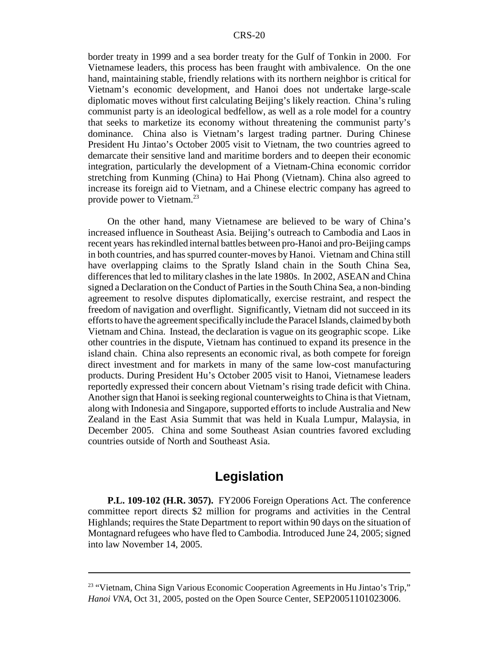border treaty in 1999 and a sea border treaty for the Gulf of Tonkin in 2000. For Vietnamese leaders, this process has been fraught with ambivalence. On the one hand, maintaining stable, friendly relations with its northern neighbor is critical for Vietnam's economic development, and Hanoi does not undertake large-scale diplomatic moves without first calculating Beijing's likely reaction. China's ruling communist party is an ideological bedfellow, as well as a role model for a country that seeks to marketize its economy without threatening the communist party's dominance. China also is Vietnam's largest trading partner. During Chinese President Hu Jintao's October 2005 visit to Vietnam, the two countries agreed to demarcate their sensitive land and maritime borders and to deepen their economic integration, particularly the development of a Vietnam-China economic corridor stretching from Kunming (China) to Hai Phong (Vietnam). China also agreed to increase its foreign aid to Vietnam, and a Chinese electric company has agreed to provide power to Vietnam.23

On the other hand, many Vietnamese are believed to be wary of China's increased influence in Southeast Asia. Beijing's outreach to Cambodia and Laos in recent years has rekindled internal battles between pro-Hanoi and pro-Beijing camps in both countries, and has spurred counter-moves by Hanoi. Vietnam and China still have overlapping claims to the Spratly Island chain in the South China Sea, differences that led to military clashes in the late 1980s. In 2002, ASEAN and China signed a Declaration on the Conduct of Parties in the South China Sea, a non-binding agreement to resolve disputes diplomatically, exercise restraint, and respect the freedom of navigation and overflight. Significantly, Vietnam did not succeed in its efforts to have the agreement specifically include the Paracel Islands, claimed by both Vietnam and China. Instead, the declaration is vague on its geographic scope. Like other countries in the dispute, Vietnam has continued to expand its presence in the island chain. China also represents an economic rival, as both compete for foreign direct investment and for markets in many of the same low-cost manufacturing products. During President Hu's October 2005 visit to Hanoi, Vietnamese leaders reportedly expressed their concern about Vietnam's rising trade deficit with China. Another sign that Hanoi is seeking regional counterweights to China is that Vietnam, along with Indonesia and Singapore, supported efforts to include Australia and New Zealand in the East Asia Summit that was held in Kuala Lumpur, Malaysia, in December 2005. China and some Southeast Asian countries favored excluding countries outside of North and Southeast Asia.

# **Legislation**

**P.L. 109-102 (H.R. 3057).** FY2006 Foreign Operations Act. The conference committee report directs \$2 million for programs and activities in the Central Highlands; requires the State Department to report within 90 days on the situation of Montagnard refugees who have fled to Cambodia. Introduced June 24, 2005; signed into law November 14, 2005.

<sup>&</sup>lt;sup>23</sup> "Vietnam, China Sign Various Economic Cooperation Agreements in Hu Jintao's Trip," *Hanoi VNA*, Oct 31, 2005, posted on the Open Source Center, SEP20051101023006.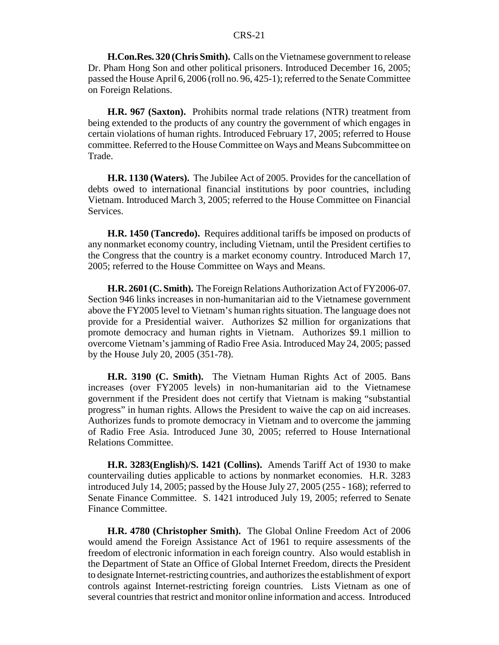**H.Con.Res. 320 (Chris Smith).** Calls on the Vietnamese government to release Dr. Pham Hong Son and other political prisoners. Introduced December 16, 2005; passed the House April 6, 2006 (roll no. 96, 425-1); referred to the Senate Committee on Foreign Relations.

**H.R. 967 (Saxton).** Prohibits normal trade relations (NTR) treatment from being extended to the products of any country the government of which engages in certain violations of human rights. Introduced February 17, 2005; referred to House committee. Referred to the House Committee on Ways and Means Subcommittee on Trade.

**H.R. 1130 (Waters).** The Jubilee Act of 2005. Provides for the cancellation of debts owed to international financial institutions by poor countries, including Vietnam. Introduced March 3, 2005; referred to the House Committee on Financial Services.

**H.R. 1450 (Tancredo).** Requires additional tariffs be imposed on products of any nonmarket economy country, including Vietnam, until the President certifies to the Congress that the country is a market economy country. Introduced March 17, 2005; referred to the House Committee on Ways and Means.

**H.R. 2601 (C. Smith).** The Foreign Relations Authorization Act of FY2006-07. Section 946 links increases in non-humanitarian aid to the Vietnamese government above the FY2005 level to Vietnam's human rights situation. The language does not provide for a Presidential waiver. Authorizes \$2 million for organizations that promote democracy and human rights in Vietnam. Authorizes \$9.1 million to overcome Vietnam's jamming of Radio Free Asia. Introduced May 24, 2005; passed by the House July 20, 2005 (351-78).

**H.R. 3190 (C. Smith).** The Vietnam Human Rights Act of 2005. Bans increases (over FY2005 levels) in non-humanitarian aid to the Vietnamese government if the President does not certify that Vietnam is making "substantial progress" in human rights. Allows the President to waive the cap on aid increases. Authorizes funds to promote democracy in Vietnam and to overcome the jamming of Radio Free Asia. Introduced June 30, 2005; referred to House International Relations Committee.

**H.R. 3283(English)/S. 1421 (Collins).** Amends Tariff Act of 1930 to make countervailing duties applicable to actions by nonmarket economies. H.R. 3283 introduced July 14, 2005; passed by the House July 27, 2005 (255 - 168); referred to Senate Finance Committee. S. 1421 introduced July 19, 2005; referred to Senate Finance Committee.

**H.R. 4780 (Christopher Smith).** The Global Online Freedom Act of 2006 would amend the Foreign Assistance Act of 1961 to require assessments of the freedom of electronic information in each foreign country. Also would establish in the Department of State an Office of Global Internet Freedom, directs the President to designate Internet-restricting countries, and authorizes the establishment of export controls against Internet-restricting foreign countries. Lists Vietnam as one of several countries that restrict and monitor online information and access. Introduced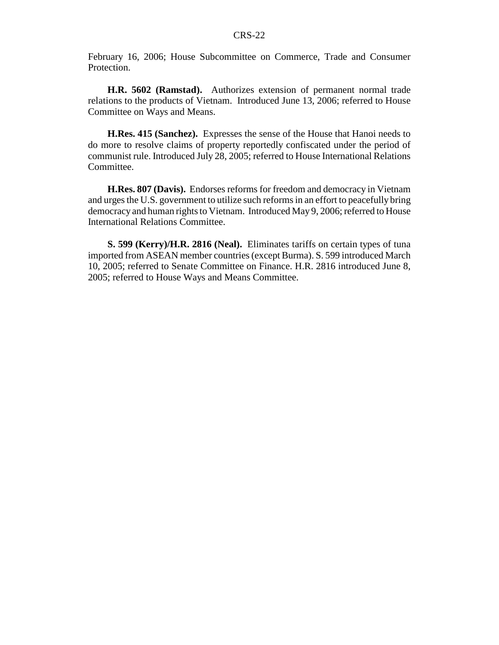February 16, 2006; House Subcommittee on Commerce, Trade and Consumer Protection.

**H.R. 5602 (Ramstad).** Authorizes extension of permanent normal trade relations to the products of Vietnam. Introduced June 13, 2006; referred to House Committee on Ways and Means.

**H.Res. 415 (Sanchez).** Expresses the sense of the House that Hanoi needs to do more to resolve claims of property reportedly confiscated under the period of communist rule. Introduced July 28, 2005; referred to House International Relations Committee.

**H.Res. 807 (Davis).** Endorses reforms for freedom and democracy in Vietnam and urges the U.S. government to utilize such reforms in an effort to peacefully bring democracy and human rights to Vietnam. Introduced May 9, 2006; referred to House International Relations Committee.

**S. 599 (Kerry)/H.R. 2816 (Neal).** Eliminates tariffs on certain types of tuna imported from ASEAN member countries (except Burma). S. 599 introduced March 10, 2005; referred to Senate Committee on Finance. H.R. 2816 introduced June 8, 2005; referred to House Ways and Means Committee.